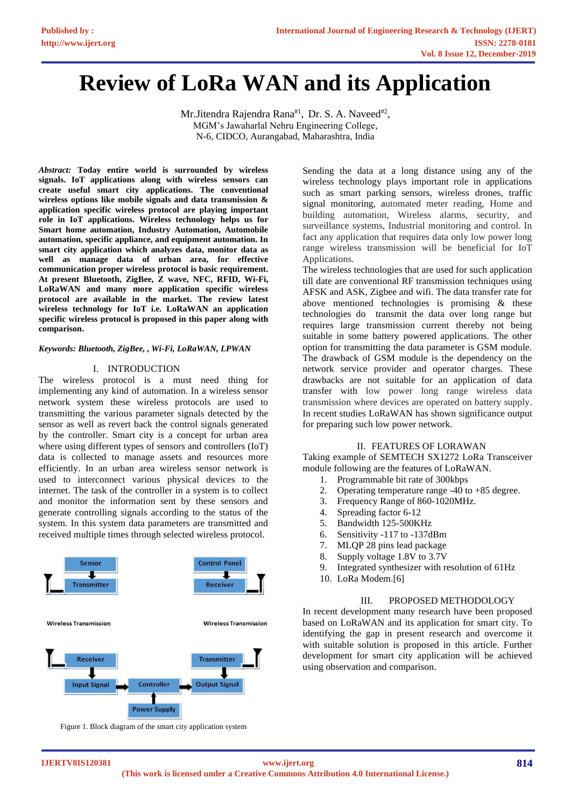# **Review of LoRa WAN and its Application**

Mr.Jitendra Rajendra Rana<sup>#1</sup>, Dr. S. A. Naveed<sup>#2</sup>, MGM's Jawaharlal Nehru Engineering College, N-6, CIDCO, Aurangabad, Maharashtra, India

*Abstract:* **Today entire world is surrounded by wireless signals. IoT applications along with wireless sensors can create useful smart city applications. The conventional wireless options like mobile signals and data transmission & application specific wireless protocol are playing important role in IoT applications. Wireless technology helps us for Smart home automation, Industry Automation, Automobile automation, specific appliance, and equipment automation. In smart city application which analyzes data, monitor data as well as manage data of urban area, for effective communication proper wireless protocol is basic requirement. At present Bluetooth, ZigBee, Z wave, NFC, RFID, Wi-Fi, LoRaWAN and many more application specific wireless protocol are available in the market. The review latest wireless technology for IoT i.e. LoRaWAN an application specific wireless protocol is proposed in this paper along with comparison.**

#### *Keywords: Bluetooth, ZigBee, , Wi-Fi, LoRaWAN, LPWAN*

#### I. INTRODUCTION

The wireless protocol is a must need thing for implementing any kind of automation. In a wireless sensor network system these wireless protocols are used to transmitting the various parameter signals detected by the sensor as well as revert back the control signals generated by the controller. Smart city is a concept for urban area where using different types of sensors and controllers (IoT) data is collected to manage assets and resources more efficiently. In an urban area wireless sensor network is used to interconnect various physical devices to the internet. The task of the controller in a system is to collect and monitor the information sent by these sensors and generate controlling signals according to the status of the system. In this system data parameters are transmitted and received multiple times through selected wireless protocol.



Figure 1. Block diagram of the smart city application system

Sending the data at a long distance using any of the wireless technology plays important role in applications such as smart parking sensors, wireless drones, traffic signal monitoring, automated meter reading, Home and building automation, Wireless alarms, security, and surveillance systems, Industrial monitoring and control. In fact any application that requires data only low power long range wireless transmission will be beneficial for IoT Applications.

The wireless technologies that are used for such application till date are conventional RF transmission techniques using AFSK and ASK, Zigbee and wifi. The data transfer rate for above mentioned technologies is promising & these technologies do transmit the data over long range but requires large transmission current thereby not being suitable in some battery powered applications. The other option for transmitting the data parameter is GSM module. The drawback of GSM module is the dependency on the network service provider and operator charges. These drawbacks are not suitable for an application of data transfer with low power long range wireless data transmission where devices are operated on battery supply. In recent studies LoRaWAN has shown significance output for preparing such low power network.

## II. FEATURES OF LORAWAN

Taking example of SEMTECH SX1272 LoRa Transceiver module following are the features of LoRaWAN.

- 1. Programmable bit rate of 300kbps
- 2. Operating temperature range -40 to +85 degree.
- 3. Frequency Range of 860-1020MHz.
- 4. Spreading factor 6-12
- 5. Bandwidth 125-500KHz
- 6. Sensitivity -117 to -137dBm
- 7. MLQP 28 pins lead package
- 8. Supply voltage 1.8V to 3.7V
- 9. Integrated synthesizer with resolution of 61Hz
- 10. LoRa Modem.[6]

#### III. PROPOSED METHODOLOGY

In recent development many research have been proposed based on LoRaWAN and its application for smart city. To identifying the gap in present research and overcome it with suitable solution is proposed in this article. Further development for smart city application will be achieved using observation and comparison.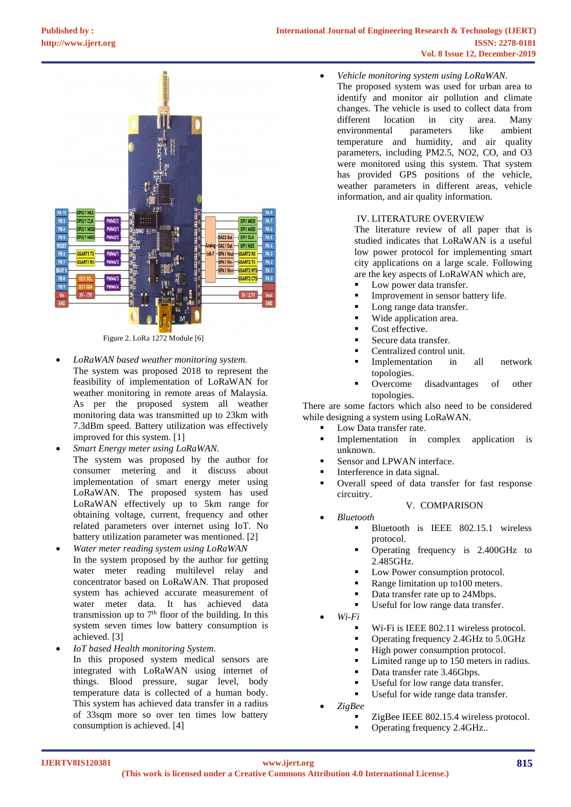

Figure 2. LoRa 1272 Module [6]

- *LoRaWAN based weather monitoring system.* The system was proposed 2018 to represent the feasibility of implementation of LoRaWAN for weather monitoring in remote areas of Malaysia. As per the proposed system all weather monitoring data was transmitted up to 23km with 7.3dBm speed. Battery utilization was effectively improved for this system. [1]
- *Smart Energy meter using LoRaWAN.* The system was proposed by the author for consumer metering and it discuss about implementation of smart energy meter using LoRaWAN. The proposed system has used LoRaWAN effectively up to 5km range for obtaining voltage, current, frequency and other related parameters over internet using IoT. No battery utilization parameter was mentioned. [2]
- *Water meter reading system using LoRaWAN* In the system proposed by the author for getting water meter reading multilevel relay and concentrator based on LoRaWAN. That proposed system has achieved accurate measurement of water meter data. It has achieved data transmission up to  $7<sup>th</sup>$  floor of the building. In this system seven times low battery consumption is achieved. [3]
- *IoT based Health monitoring System.* In this proposed system medical sensors are integrated with LoRaWAN using internet of things. Blood pressure, sugar level, body temperature data is collected of a human body. This system has achieved data transfer in a radius of 33sqm more so over ten times low battery consumption is achieved. [4]
- *Vehicle monitoring system using LoRaWAN.*
- The proposed system was used for urban area to identify and monitor air pollution and climate changes. The vehicle is used to collect data from different location in city area. Many<br>environmental parameters like ambient environmental parameters like ambient temperature and humidity, and air quality parameters, including PM2.5, NO2, CO, and O3 were monitored using this system. That system has provided GPS positions of the vehicle, weather parameters in different areas, vehicle information, and air quality information.

## IV. LITERATURE OVERVIEW

The literature review of all paper that is studied indicates that LoRaWAN is a useful low power protocol for implementing smart city applications on a large scale. Following are the key aspects of LoRaWAN which are,

- Low power data transfer.
- Improvement in sensor battery life.
- Long range data transfer.
- Wide application area.
- Cost effective.
- Secure data transfer.
- Centralized control unit.
- Implementation in all network topologies.
- Overcome disadvantages of other topologies.

There are some factors which also need to be considered while designing a system using LoRaWAN.

- Low Data transfer rate.
- Implementation in complex application is unknown.
- Sensor and LPWAN interface.
- Interference in data signal.
- Overall speed of data transfer for fast response circuitry.
	- *Bluetooth*
		- Bluetooth is IEEE 802.15.1 wireless protocol.

V. COMPARISON

- Operating frequency is 2.400GHz to 2.485GHz.
- Low Power consumption protocol.
- Range limitation up to 100 meters.
- Data transfer rate up to 24Mbps.
- Useful for low range data transfer.
- *Wi-Fi*
	- Wi-Fi is IEEE 802.11 wireless protocol.
	- Operating frequency 2.4GHz to 5.0GHz
	- High power consumption protocol.
	- Limited range up to 150 meters in radius.
	- Data transfer rate 3.46Gbps.
	- Useful for low range data transfer.
	- Useful for wide range data transfer.
- *ZigBee*
	- ZigBee IEEE 802.15.4 wireless protocol.
	- Operating frequency 2.4GHz..